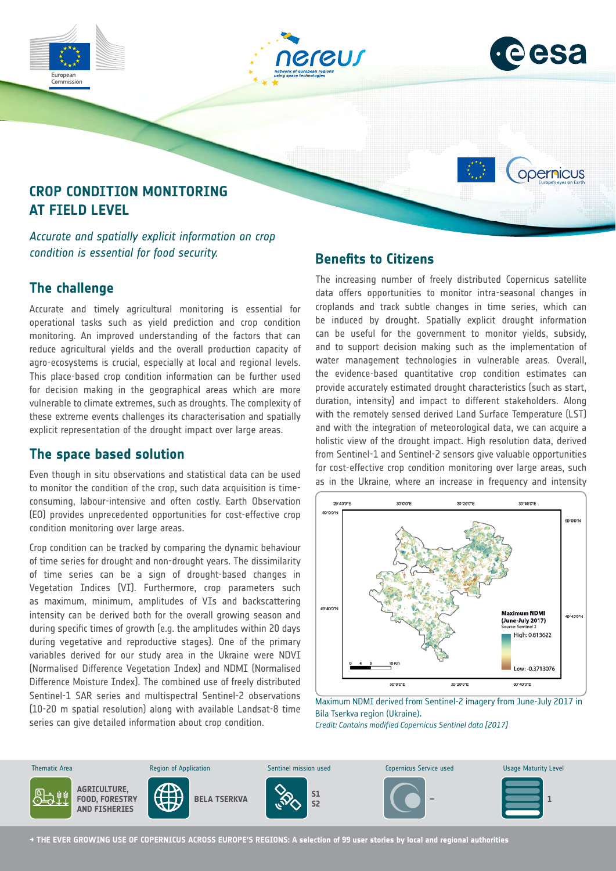



opernicus

# **CROP CONDITION MONITORING AT FIELD LEVEL**

*Accurate and spatially explicit information on crop condition is essential for food security.*

## **The challenge**

Commission

Accurate and timely agricultural monitoring is essential for operational tasks such as yield prediction and crop condition monitoring. An improved understanding of the factors that can reduce agricultural yields and the overall production capacity of agro-ecosystems is crucial, especially at local and regional levels. This place-based crop condition information can be further used for decision making in the geographical areas which are more vulnerable to climate extremes, such as droughts. The complexity of these extreme events challenges its characterisation and spatially explicit representation of the drought impact over large areas.

## **The space based solution**

Even though in situ observations and statistical data can be used to monitor the condition of the crop, such data acquisition is timeconsuming, labour-intensive and often costly. Earth Observation (EO) provides unprecedented opportunities for cost-effective crop condition monitoring over large areas.

Crop condition can be tracked by comparing the dynamic behaviour of time series for drought and non-drought years. The dissimilarity of time series can be a sign of drought-based changes in Vegetation Indices (VI). Furthermore, crop parameters such as maximum, minimum, amplitudes of VIs and backscattering intensity can be derived both for the overall growing season and during specific times of growth (e.g. the amplitudes within 20 days during vegetative and reproductive stages). One of the primary variables derived for our study area in the Ukraine were NDVI (Normalised Difference Vegetation Index) and NDMI (Normalised Difference Moisture Index). The combined use of freely distributed Sentinel-1 SAR series and multispectral Sentinel-2 observations (10-20 m spatial resolution) along with available Landsat-8 time series can give detailed information about crop condition.

## **Benefits to Citizens**

The increasing number of freely distributed Copernicus satellite data offers opportunities to monitor intra-seasonal changes in croplands and track subtle changes in time series, which can be induced by drought. Spatially explicit drought information can be useful for the government to monitor yields, subsidy, and to support decision making such as the implementation of water management technologies in vulnerable areas. Overall, the evidence-based quantitative crop condition estimates can provide accurately estimated drought characteristics (such as start, duration, intensity) and impact to different stakeholders. Along with the remotely sensed derived Land Surface Temperature (LST) and with the integration of meteorological data, we can acquire a holistic view of the drought impact. High resolution data, derived from Sentinel-1 and Sentinel-2 sensors give valuable opportunities for cost-effective crop condition monitoring over large areas, such as in the Ukraine, where an increase in frequency and intensity



Maximum NDMI derived from Sentinel-2 imagery from June-July 2017 in Bila Tserkva region (Ukraine).

*Credit: Contains modified Copernicus Sentinel data [2017]*



**→ THE EVER GROWING USE OF COPERNICUS ACROSS EUROPE'S REGIONS: A selection of 99 user stories by local and regional authorities**